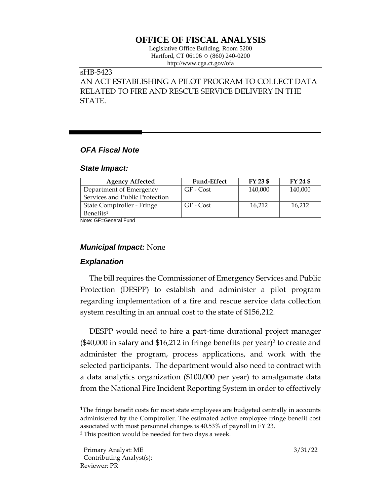# **OFFICE OF FISCAL ANALYSIS**

Legislative Office Building, Room 5200 Hartford, CT 06106  $\Diamond$  (860) 240-0200 http://www.cga.ct.gov/ofa

# sHB-5423 AN ACT ESTABLISHING A PILOT PROGRAM TO COLLECT DATA RELATED TO FIRE AND RESCUE SERVICE DELIVERY IN THE STATE.

### *OFA Fiscal Note*

#### *State Impact:*

| <b>Agency Affected</b>         | <b>Fund-Effect</b> | FY 23 \$ | FY 24 \$ |
|--------------------------------|--------------------|----------|----------|
| Department of Emergency        | GF - Cost          | 140,000  | 140,000  |
| Services and Public Protection |                    |          |          |
| State Comptroller - Fringe     | GF - Cost          | 16,212   | 16,212   |
| Benefits <sup>1</sup>          |                    |          |          |

Note: GF=General Fund

#### *Municipal Impact:* None

# *Explanation*

The bill requires the Commissioner of Emergency Services and Public Protection (DESPP) to establish and administer a pilot program regarding implementation of a fire and rescue service data collection system resulting in an annual cost to the state of \$156,212.

DESPP would need to hire a part-time durational project manager (\$40,000 in salary and \$16,212 in fringe benefits per year)<sup>2</sup> to create and administer the program, process applications, and work with the selected participants. The department would also need to contract with a data analytics organization (\$100,000 per year) to amalgamate data from the National Fire Incident Reporting System in order to effectively

<sup>&</sup>lt;sup>1</sup>The fringe benefit costs for most state employees are budgeted centrally in accounts administered by the Comptroller. The estimated active employee fringe benefit cost associated with most personnel changes is 40.53% of payroll in FY 23.

<sup>2</sup> This position would be needed for two days a week.